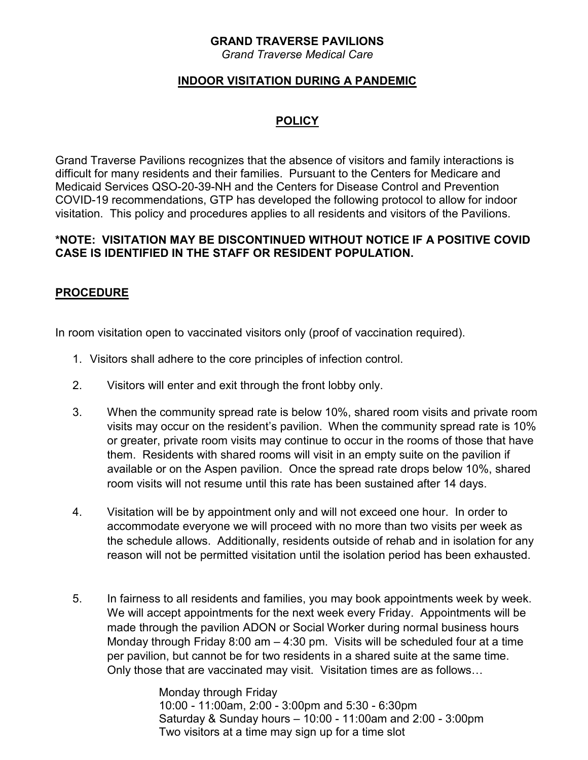## **GRAND TRAVERSE PAVILIONS**

*Grand Traverse Medical Care*

## **INDOOR VISITATION DURING A PANDEMIC**

# **POLICY**

Grand Traverse Pavilions recognizes that the absence of visitors and family interactions is difficult for many residents and their families. Pursuant to the Centers for Medicare and Medicaid Services QSO-20-39-NH and the Centers for Disease Control and Prevention COVID-19 recommendations, GTP has developed the following protocol to allow for indoor visitation. This policy and procedures applies to all residents and visitors of the Pavilions.

#### **\*NOTE: VISITATION MAY BE DISCONTINUED WITHOUT NOTICE IF A POSITIVE COVID CASE IS IDENTIFIED IN THE STAFF OR RESIDENT POPULATION.**

## **PROCEDURE**

In room visitation open to vaccinated visitors only (proof of vaccination required).

- 1. Visitors shall adhere to the core principles of infection control.
- 2. Visitors will enter and exit through the front lobby only.
- 3. When the community spread rate is below 10%, shared room visits and private room visits may occur on the resident's pavilion. When the community spread rate is 10% or greater, private room visits may continue to occur in the rooms of those that have them. Residents with shared rooms will visit in an empty suite on the pavilion if available or on the Aspen pavilion. Once the spread rate drops below 10%, shared room visits will not resume until this rate has been sustained after 14 days.
- 4. Visitation will be by appointment only and will not exceed one hour. In order to accommodate everyone we will proceed with no more than two visits per week as the schedule allows. Additionally, residents outside of rehab and in isolation for any reason will not be permitted visitation until the isolation period has been exhausted.
- 5. In fairness to all residents and families, you may book appointments week by week. We will accept appointments for the next week every Friday. Appointments will be made through the pavilion ADON or Social Worker during normal business hours Monday through Friday 8:00 am – 4:30 pm. Visits will be scheduled four at a time per pavilion, but cannot be for two residents in a shared suite at the same time. Only those that are vaccinated may visit. Visitation times are as follows…

Monday through Friday 10:00 - 11:00am, 2:00 - 3:00pm and 5:30 - 6:30pm Saturday & Sunday hours – 10:00 - 11:00am and 2:00 - 3:00pm Two visitors at a time may sign up for a time slot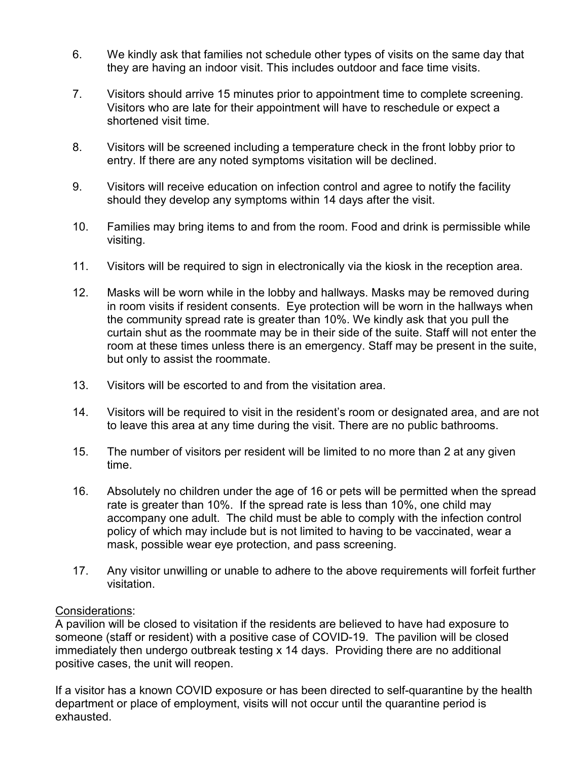- 6. We kindly ask that families not schedule other types of visits on the same day that they are having an indoor visit. This includes outdoor and face time visits.
- 7. Visitors should arrive 15 minutes prior to appointment time to complete screening. Visitors who are late for their appointment will have to reschedule or expect a shortened visit time.
- 8. Visitors will be screened including a temperature check in the front lobby prior to entry. If there are any noted symptoms visitation will be declined.
- 9. Visitors will receive education on infection control and agree to notify the facility should they develop any symptoms within 14 days after the visit.
- 10. Families may bring items to and from the room. Food and drink is permissible while visiting.
- 11. Visitors will be required to sign in electronically via the kiosk in the reception area.
- 12. Masks will be worn while in the lobby and hallways. Masks may be removed during in room visits if resident consents. Eye protection will be worn in the hallways when the community spread rate is greater than 10%. We kindly ask that you pull the curtain shut as the roommate may be in their side of the suite. Staff will not enter the room at these times unless there is an emergency. Staff may be present in the suite, but only to assist the roommate.
- 13. Visitors will be escorted to and from the visitation area.
- 14. Visitors will be required to visit in the resident's room or designated area, and are not to leave this area at any time during the visit. There are no public bathrooms.
- 15. The number of visitors per resident will be limited to no more than 2 at any given time.
- 16. Absolutely no children under the age of 16 or pets will be permitted when the spread rate is greater than 10%. If the spread rate is less than 10%, one child may accompany one adult. The child must be able to comply with the infection control policy of which may include but is not limited to having to be vaccinated, wear a mask, possible wear eye protection, and pass screening.
- 17. Any visitor unwilling or unable to adhere to the above requirements will forfeit further visitation.

### Considerations:

A pavilion will be closed to visitation if the residents are believed to have had exposure to someone (staff or resident) with a positive case of COVID-19. The pavilion will be closed immediately then undergo outbreak testing x 14 days. Providing there are no additional positive cases, the unit will reopen.

If a visitor has a known COVID exposure or has been directed to self-quarantine by the health department or place of employment, visits will not occur until the quarantine period is exhausted.